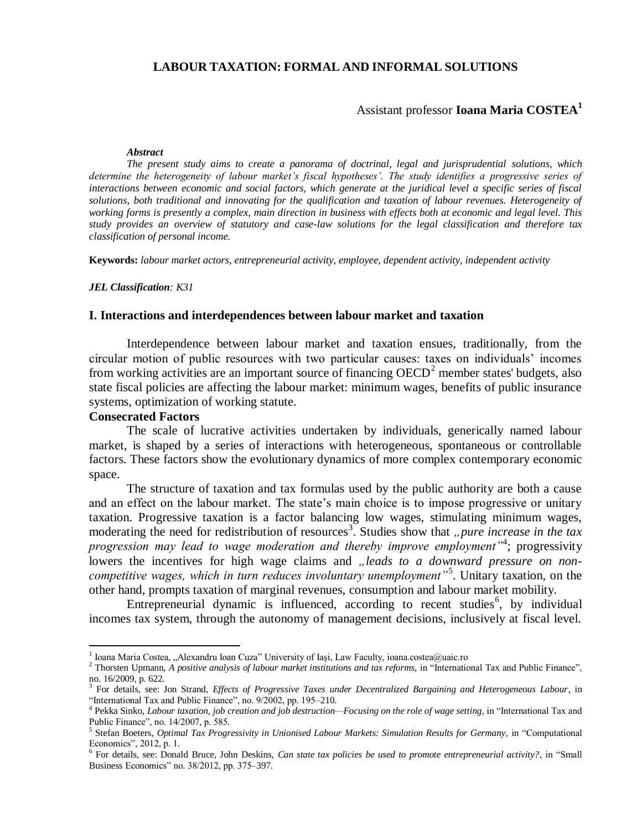## **LABOUR TAXATION: FORMAL AND INFORMAL SOLUTIONS**

# Assistant professor **Ioana Maria COSTEA<sup>1</sup>**

#### *Abstract*

*The present study aims to create a panorama of doctrinal, legal and jurisprudential solutions, which determine the heterogeneity of labour market's fiscal hypotheses'. The study identifies a progressive series of interactions between economic and social factors, which generate at the juridical level a specific series of fiscal solutions, both traditional and innovating for the qualification and taxation of labour revenues. Heterogeneity of working forms is presently a complex, main direction in business with effects both at economic and legal level. This study provides an overview of statutory and case-law solutions for the legal classification and therefore tax classification of personal income.*

**Keywords:** *labour market actors, entrepreneurial activity, employee, dependent activity, independent activity*

*JEL Classification: K31*

#### **I. Interactions and interdependences between labour market and taxation**

Interdependence between labour market and taxation ensues, traditionally, from the circular motion of public resources with two particular causes: taxes on individuals' incomes from working activities are an important source of financing  $OECD<sup>2</sup>$  member states' budgets, also state fiscal policies are affecting the labour market: minimum wages, benefits of public insurance systems, optimization of working statute.

# **Consecrated Factors**

 $\overline{a}$ 

The scale of lucrative activities undertaken by individuals, generically named labour market, is shaped by a series of interactions with heterogeneous, spontaneous or controllable factors. These factors show the evolutionary dynamics of more complex contemporary economic space.

The structure of taxation and tax formulas used by the public authority are both a cause and an effect on the labour market. The state's main choice is to impose progressive or unitary taxation. Progressive taxation is a factor balancing low wages, stimulating minimum wages, moderating the need for redistribution of resources<sup>3</sup>. Studies show that "pure increase in the tax *progression may lead to wage moderation and thereby improve employment"*<sup>4</sup> ; progressivity lowers the incentives for high wage claims and *"leads to a downward pressure on noncompetitive wages, which in turn reduces involuntary unemployment"*<sup>5</sup> . Unitary taxation, on the other hand, prompts taxation of marginal revenues, consumption and labour market mobility.

Entrepreneurial dynamic is influenced, according to recent studies<sup>6</sup>, by individual incomes tax system, through the autonomy of management decisions, inclusively at fiscal level.

<sup>&</sup>lt;sup>1</sup> Ioana Maria Costea, "Alexandru Ioan Cuza" University of Iași, Law Faculty, ioana.costea@uaic.ro

 $^2$  Thorsten Upmann, *A positive analysis of labour market institutions and tax reforms*, in "International Tax and Public Finance", no. 16/2009, p. 622.

<sup>&</sup>lt;sup>3</sup> For details, see: Jon Strand, *Effects of Progressive Taxes under Decentralized Bargaining and Heterogeneous Labour*, in "International Tax and Public Finance", no. 9/2002, pp. 195–210.

<sup>4</sup> Pekka Sinko, *Labour taxation, job creation and job destruction—Focusing on the role of wage setting*, in "International Tax and Public Finance", no. 14/2007, p. 585.

<sup>5</sup> Stefan Boeters, *Optimal Tax Progressivity in Unionised Labour Markets: Simulation Results for Germany,* in "Computational Economics", 2012, p. 1.

<sup>&</sup>lt;sup>6</sup> For details, see: Donald Bruce, John Deskins, *Can state tax policies be used to promote entrepreneurial activity?*, in "Small Business Economics" no. 38/2012, pp. 375–397.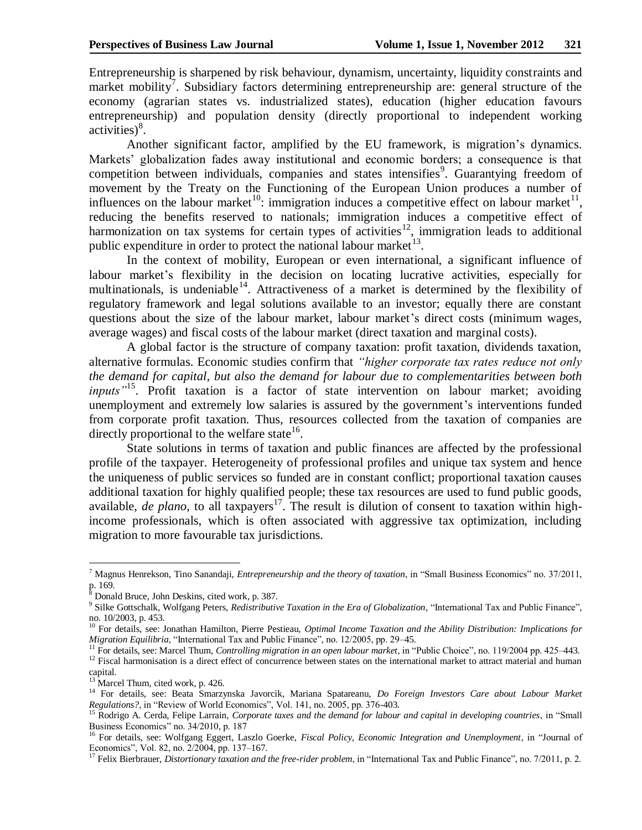Entrepreneurship is sharpened by risk behaviour, dynamism, uncertainty, liquidity constraints and market mobility<sup>7</sup>. Subsidiary factors determining entrepreneurship are: general structure of the economy (agrarian states vs. industrialized states), education (higher education favours entrepreneurship) and population density (directly proportional to independent working  $\arctivities)^8$ .

Another significant factor, amplified by the EU framework, is migration's dynamics. Markets' globalization fades away institutional and economic borders; a consequence is that competition between individuals, companies and states intensifies<sup>9</sup>. Guarantying freedom of movement by the Treaty on the Functioning of the European Union produces a number of influences on the labour market<sup>10</sup>: immigration induces a competitive effect on labour market<sup>11</sup>, reducing the benefits reserved to nationals; immigration induces a competitive effect of harmonization on tax systems for certain types of activities<sup>12</sup>, immigration leads to additional public expenditure in order to protect the national labour market $^{13}$ .

In the context of mobility, European or even international, a significant influence of labour market's flexibility in the decision on locating lucrative activities, especially for multinationals, is undeniable<sup>14</sup>. Attractiveness of a market is determined by the flexibility of regulatory framework and legal solutions available to an investor; equally there are constant questions about the size of the labour market, labour market's direct costs (minimum wages, average wages) and fiscal costs of the labour market (direct taxation and marginal costs).

A global factor is the structure of company taxation: profit taxation, dividends taxation, alternative formulas. Economic studies confirm that *"higher corporate tax rates reduce not only the demand for capital, but also the demand for labour due to complementarities between both inputs"*<sup>15</sup>. Profit taxation is a factor of state intervention on labour market; avoiding unemployment and extremely low salaries is assured by the government's interventions funded from corporate profit taxation. Thus, resources collected from the taxation of companies are directly proportional to the welfare state  $16$ .

State solutions in terms of taxation and public finances are affected by the professional profile of the taxpayer. Heterogeneity of professional profiles and unique tax system and hence the uniqueness of public services so funded are in constant conflict; proportional taxation causes additional taxation for highly qualified people; these tax resources are used to fund public goods, available, *de plano*, to all taxpayers<sup>17</sup>. The result is dilution of consent to taxation within highincome professionals, which is often associated with aggressive tax optimization, including migration to more favourable tax jurisdictions.

<sup>7</sup> Magnus Henrekson, Tino Sanandaji, *Entrepreneurship and the theory of taxation*, in "Small Business Economics" no. 37/2011, p. 169.

<sup>8</sup> Donald Bruce, John Deskins, cited work, p. 387.

<sup>9</sup> Silke Gottschalk, Wolfgang Peters, *Redistributive Taxation in the Era of Globalization*, "International Tax and Public Finance", no. 10/2003, p. 453.

<sup>10</sup> For details, see: Jonathan Hamilton, Pierre Pestieau, *Optimal Income Taxation and the Ability Distribution: Implications for Migration Equilibria*, "International Tax and Public Finance", no. 12/2005, pp. 29–45.

<sup>11</sup> For details, see: Marcel Thum, *Controlling migration in an open labour market*, in "Public Choice", no. 119/2004 pp. 425–443.

<sup>&</sup>lt;sup>12</sup> Fiscal harmonisation is a direct effect of concurrence between states on the international market to attract material and human capital.

<sup>&</sup>lt;sup>13</sup> Marcel Thum, cited work, p. 426.

<sup>14</sup> For details, see: Beata Smarzynska Javorcik, Mariana Spatareanu, *Do Foreign Investors Care about Labour Market Regulations?*, in "Review of World Economics", Vol. 141, no. 2005, pp. 376-403.

<sup>&</sup>lt;sup>15</sup> Rodrigo A. Cerda, Felipe Larrain, *Corporate taxes and the demand for labour and capital in developing countries*, in "Small Business Economics" no. 34/2010, p. 187

<sup>&</sup>lt;sup>16</sup> For details, see: Wolfgang Eggert, Laszlo Goerke, *Fiscal Policy, Economic Integration and Unemployment*, in "Journal of Economics", Vol. 82, no. 2/2004, pp. 137–167.<br> $^{17}$  Felix Piechensen,  $\Gamma$ .

<sup>17</sup> Felix Bierbrauer, *Distortionary taxation and the free-rider problem*, in "International Tax and Public Finance", no. 7/2011, p. 2.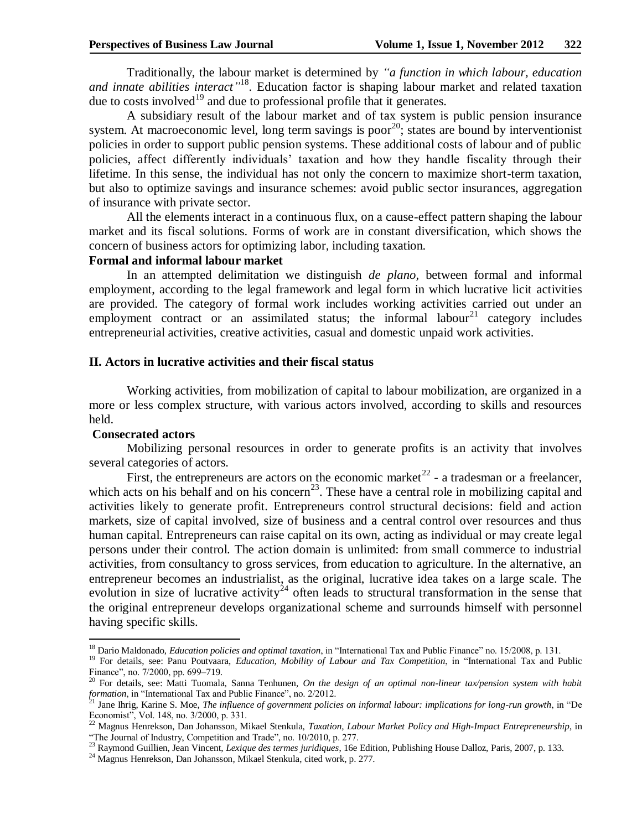Traditionally, the labour market is determined by *"a function in which labour, education and innate abilities interact"* <sup>18</sup>. Education factor is shaping labour market and related taxation due to costs involved<sup>19</sup> and due to professional profile that it generates.

A subsidiary result of the labour market and of tax system is public pension insurance system. At macroeconomic level, long term savings is poor<sup>20</sup>; states are bound by interventionist policies in order to support public pension systems. These additional costs of labour and of public policies, affect differently individuals' taxation and how they handle fiscality through their lifetime. In this sense, the individual has not only the concern to maximize short-term taxation, but also to optimize savings and insurance schemes: avoid public sector insurances, aggregation of insurance with private sector.

All the elements interact in a continuous flux, on a cause-effect pattern shaping the labour market and its fiscal solutions. Forms of work are in constant diversification, which shows the concern of business actors for optimizing labor, including taxation.

### **Formal and informal labour market**

In an attempted delimitation we distinguish *de plano,* between formal and informal employment, according to the legal framework and legal form in which lucrative licit activities are provided. The category of formal work includes working activities carried out under an employment contract or an assimilated status; the informal labour<sup>21</sup> category includes entrepreneurial activities, creative activities, casual and domestic unpaid work activities.

### **II. Actors in lucrative activities and their fiscal status**

Working activities, from mobilization of capital to labour mobilization, are organized in a more or less complex structure, with various actors involved, according to skills and resources held.

### **Consecrated actors**

1

Mobilizing personal resources in order to generate profits is an activity that involves several categories of actors.

First, the entrepreneurs are actors on the economic market<sup>22</sup> - a tradesman or a freelancer, which acts on his behalf and on his concern<sup>23</sup>. These have a central role in mobilizing capital and activities likely to generate profit. Entrepreneurs control structural decisions: field and action markets, size of capital involved, size of business and a central control over resources and thus human capital. Entrepreneurs can raise capital on its own, acting as individual or may create legal persons under their control. The action domain is unlimited: from small commerce to industrial activities, from consultancy to gross services, from education to agriculture. In the alternative, an entrepreneur becomes an industrialist, as the original, lucrative idea takes on a large scale. The evolution in size of lucrative activity<sup>24</sup> often leads to structural transformation in the sense that the original entrepreneur develops organizational scheme and surrounds himself with personnel having specific skills.

<sup>18</sup> Dario Maldonado, *Education policies and optimal taxation*, in "International Tax and Public Finance" no. 15/2008, p. 131.

<sup>&</sup>lt;sup>19</sup> For details, see: Panu Poutvaara, *Education, Mobility of Labour and Tax Competition*, in "International Tax and Public Finance", no. 7/2000, pp. 699–719.

<sup>20</sup> For details, see: Matti Tuomala, Sanna Tenhunen, *On the design of an optimal non-linear tax/pension system with habit formation*, in "International Tax and Public Finance", no. 2/2012.

<sup>21</sup> Jane Ihrig, Karine S. Moe, *The influence of government policies on informal labour: implications for long-run growth*, in "De Economist", Vol. 148, no. 3/2000, p. 331.

<sup>&</sup>lt;sup>22</sup> Magnus Henrekson, Dan Johansson, Mikael Stenkula, *Taxation, Labour Market Policy and High-Impact Entrepreneurship*, in "The Journal of Industry, Competition and Trade", no. 10/2010, p. 277.

<sup>23</sup> Raymond Guillien, Jean Vincent, *Lexique des termes juridiques*, 16e Edition, Publishing House Dalloz, Paris, 2007, p. 133.

<sup>24</sup> Magnus Henrekson, Dan Johansson, Mikael Stenkula, cited work, p. 277.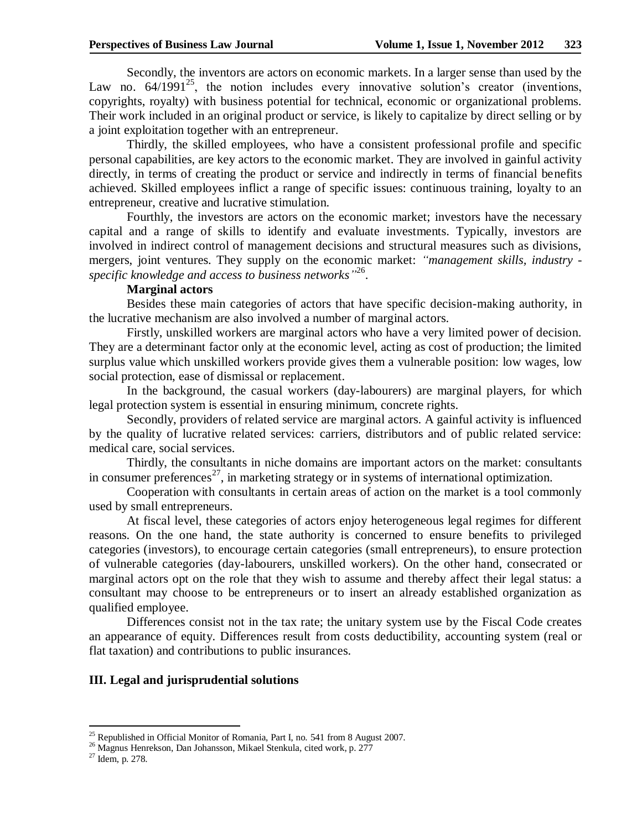Secondly, the inventors are actors on economic markets. In a larger sense than used by the Law no.  $64/1991^{25}$ , the notion includes every innovative solution's creator (inventions, copyrights, royalty) with business potential for technical, economic or organizational problems. Their work included in an original product or service, is likely to capitalize by direct selling or by a joint exploitation together with an entrepreneur.

Thirdly, the skilled employees, who have a consistent professional profile and specific personal capabilities, are key actors to the economic market. They are involved in gainful activity directly, in terms of creating the product or service and indirectly in terms of financial benefits achieved. Skilled employees inflict a range of specific issues: continuous training, loyalty to an entrepreneur, creative and lucrative stimulation.

Fourthly, the investors are actors on the economic market; investors have the necessary capital and a range of skills to identify and evaluate investments. Typically, investors are involved in indirect control of management decisions and structural measures such as divisions, mergers, joint ventures. They supply on the economic market: *"management skills, industry specific knowledge and access to business networks"* 26 .

# **Marginal actors**

Besides these main categories of actors that have specific decision-making authority, in the lucrative mechanism are also involved a number of marginal actors.

Firstly, unskilled workers are marginal actors who have a very limited power of decision. They are a determinant factor only at the economic level, acting as cost of production; the limited surplus value which unskilled workers provide gives them a vulnerable position: low wages, low social protection, ease of dismissal or replacement.

In the background, the casual workers (day-labourers) are marginal players, for which legal protection system is essential in ensuring minimum, concrete rights.

Secondly, providers of related service are marginal actors. A gainful activity is influenced by the quality of lucrative related services: carriers, distributors and of public related service: medical care, social services.

Thirdly, the consultants in niche domains are important actors on the market: consultants in consumer preferences<sup>27</sup>, in marketing strategy or in systems of international optimization.

Cooperation with consultants in certain areas of action on the market is a tool commonly used by small entrepreneurs.

At fiscal level, these categories of actors enjoy heterogeneous legal regimes for different reasons. On the one hand, the state authority is concerned to ensure benefits to privileged categories (investors), to encourage certain categories (small entrepreneurs), to ensure protection of vulnerable categories (day-labourers, unskilled workers). On the other hand, consecrated or marginal actors opt on the role that they wish to assume and thereby affect their legal status: a consultant may choose to be entrepreneurs or to insert an already established organization as qualified employee.

Differences consist not in the tax rate; the unitary system use by the Fiscal Code creates an appearance of equity. Differences result from costs deductibility, accounting system (real or flat taxation) and contributions to public insurances.

## **III. Legal and jurisprudential solutions**

<sup>&</sup>lt;sup>25</sup> Republished in Official Monitor of Romania, Part I, no. 541 from 8 August 2007.

<sup>&</sup>lt;sup>26</sup> Magnus Henrekson, Dan Johansson, Mikael Stenkula, cited work, p. 277

 $27$  Idem, p. 278.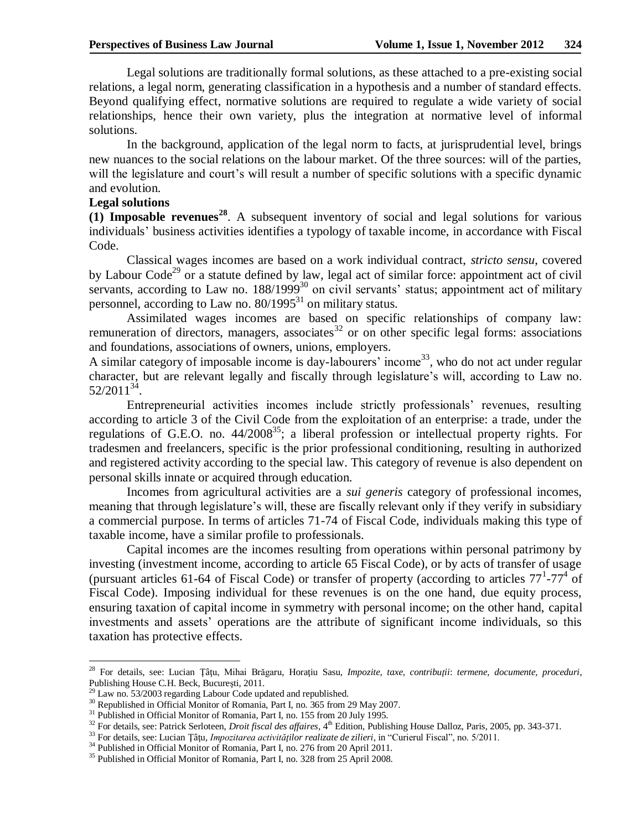Legal solutions are traditionally formal solutions, as these attached to a pre-existing social relations, a legal norm, generating classification in a hypothesis and a number of standard effects. Beyond qualifying effect, normative solutions are required to regulate a wide variety of social relationships, hence their own variety, plus the integration at normative level of informal solutions.

In the background, application of the legal norm to facts, at jurisprudential level, brings new nuances to the social relations on the labour market. Of the three sources: will of the parties, will the legislature and court's will result a number of specific solutions with a specific dynamic and evolution.

### **Legal solutions**

1

**(1) Imposable revenues<sup>28</sup>**. A subsequent inventory of social and legal solutions for various individuals' business activities identifies a typology of taxable income, in accordance with Fiscal Code.

Classical wages incomes are based on a work individual contract, *stricto sensu*, covered by Labour Code<sup>29</sup> or a statute defined by law, legal act of similar force: appointment act of civil servants, according to Law no.  $188/1999^{30}$  on civil servants' status; appointment act of military personnel, according to Law no.  $80/1995^{31}$  on military status.

Assimilated wages incomes are based on specific relationships of company law: remuneration of directors, managers, associates<sup>32</sup> or on other specific legal forms: associations and foundations, associations of owners, unions, employers.

A similar category of imposable income is day-labourers' income<sup>33</sup>, who do not act under regular character, but are relevant legally and fiscally through legislature's will, according to Law no.  $52/2011^{34}$ .

Entrepreneurial activities incomes include strictly professionals' revenues, resulting according to article 3 of the Civil Code from the exploitation of an enterprise: a trade, under the regulations of G.E.O. no.  $44/2008^{35}$ ; a liberal profession or intellectual property rights. For tradesmen and freelancers, specific is the prior professional conditioning, resulting in authorized and registered activity according to the special law. This category of revenue is also dependent on personal skills innate or acquired through education.

Incomes from agricultural activities are a *sui generis* category of professional incomes, meaning that through legislature's will, these are fiscally relevant only if they verify in subsidiary a commercial purpose. In terms of articles 71-74 of Fiscal Code, individuals making this type of taxable income, have a similar profile to professionals.

Capital incomes are the incomes resulting from operations within personal patrimony by investing (investment income, according to article 65 Fiscal Code), or by acts of transfer of usage (pursuant articles 61-64 of Fiscal Code) or transfer of property (according to articles  $77^1$ - $77^4$  of Fiscal Code). Imposing individual for these revenues is on the one hand, due equity process, ensuring taxation of capital income in symmetry with personal income; on the other hand, capital investments and assets' operations are the attribute of significant income individuals, so this taxation has protective effects.

<sup>28</sup> For details, see: Lucian Ţâţu, Mihai Brăgaru, Horaţiu Sasu, *Impozite, taxe, contribuţii*: *termene, documente, proceduri*, Publishing House C.H. Beck, Bucureşti, 2011.

 $^{29}$  Law no. 53/2003 regarding Labour Code updated and republished.

<sup>&</sup>lt;sup>30</sup> Republished in Official Monitor of Romania, Part I, no. 365 from 29 May 2007.

<sup>&</sup>lt;sup>31</sup> Published in Official Monitor of Romania, Part I, no. 155 from 20 July 1995.

<sup>&</sup>lt;sup>32</sup> For details, see: Patrick Serloteen, *Droit fiscal des affaires*, 4<sup>th</sup> Edition, Publishing House Dalloz, Paris, 2005, pp. 343-371.

<sup>33</sup> For details, see: Lucian Ţâţu, *Impozitarea activităţilor realizate de zilieri*, in "Curierul Fiscal", no. 5/2011.

<sup>&</sup>lt;sup>34</sup> Published in Official Monitor of Romania, Part I, no. 276 from 20 April 2011.

<sup>&</sup>lt;sup>35</sup> Published in Official Monitor of Romania, Part I, no. 328 from 25 April 2008.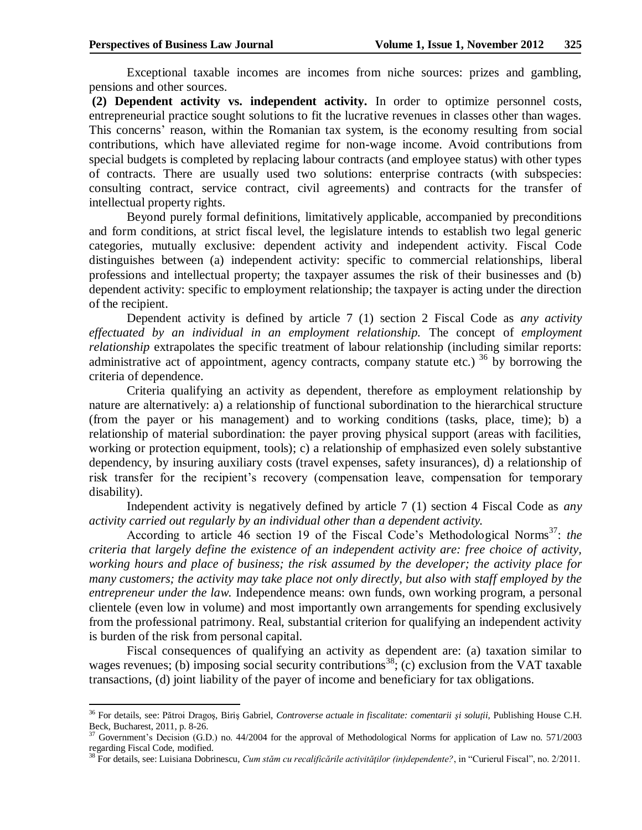$\overline{a}$ 

Exceptional taxable incomes are incomes from niche sources: prizes and gambling, pensions and other sources.

**(2) Dependent activity vs. independent activity.** In order to optimize personnel costs, entrepreneurial practice sought solutions to fit the lucrative revenues in classes other than wages. This concerns' reason, within the Romanian tax system, is the economy resulting from social contributions, which have alleviated regime for non-wage income. Avoid contributions from special budgets is completed by replacing labour contracts (and employee status) with other types of contracts. There are usually used two solutions: enterprise contracts (with subspecies: consulting contract, service contract, civil agreements) and contracts for the transfer of intellectual property rights.

Beyond purely formal definitions, limitatively applicable, accompanied by preconditions and form conditions, at strict fiscal level, the legislature intends to establish two legal generic categories, mutually exclusive: dependent activity and independent activity. Fiscal Code distinguishes between (a) independent activity: specific to commercial relationships, liberal professions and intellectual property; the taxpayer assumes the risk of their businesses and (b) dependent activity: specific to employment relationship; the taxpayer is acting under the direction of the recipient.

Dependent activity is defined by article 7 (1) section 2 Fiscal Code as *any activity effectuated by an individual in an employment relationship.* The concept of *employment relationship* extrapolates the specific treatment of labour relationship (including similar reports: administrative act of appointment, agency contracts, company statute etc.)  $36\,$  by borrowing the criteria of dependence.

Criteria qualifying an activity as dependent, therefore as employment relationship by nature are alternatively: a) a relationship of functional subordination to the hierarchical structure (from the payer or his management) and to working conditions (tasks, place, time); b) a relationship of material subordination: the payer proving physical support (areas with facilities, working or protection equipment, tools); c) a relationship of emphasized even solely substantive dependency, by insuring auxiliary costs (travel expenses, safety insurances), d) a relationship of risk transfer for the recipient's recovery (compensation leave, compensation for temporary disability).

Independent activity is negatively defined by article 7 (1) section 4 Fiscal Code as *any activity carried out regularly by an individual other than a dependent activity.*

According to article 46 section 19 of the Fiscal Code's Methodological Norms<sup>37</sup>: the *criteria that largely define the existence of an independent activity are: free choice of activity, working hours and place of business; the risk assumed by the developer; the activity place for many customers; the activity may take place not only directly, but also with staff employed by the entrepreneur under the law.* Independence means: own funds, own working program, a personal clientele (even low in volume) and most importantly own arrangements for spending exclusively from the professional patrimony. Real, substantial criterion for qualifying an independent activity is burden of the risk from personal capital.

Fiscal consequences of qualifying an activity as dependent are: (a) taxation similar to wages revenues; (b) imposing social security contributions<sup>38</sup>; (c) exclusion from the VAT taxable transactions, (d) joint liability of the payer of income and beneficiary for tax obligations.

<sup>36</sup> For details, see: Pătroi Dragoş, Biriş Gabriel, *Controverse actuale in fiscalitate: comentarii şi soluţii,* Publishing House C.H. Beck, Bucharest, 2011, p. 8-26.

<sup>&</sup>lt;sup>37</sup> Government's Decision (G.D.) no. 44/2004 for the approval of Methodological Norms for application of Law no. 571/2003 regarding Fiscal Code, modified.

<sup>38</sup> For details, see: Luisiana Dobrinescu, *Cum stăm cu recalificările activităţilor (in)dependente?*, in "Curierul Fiscal", no. 2/2011.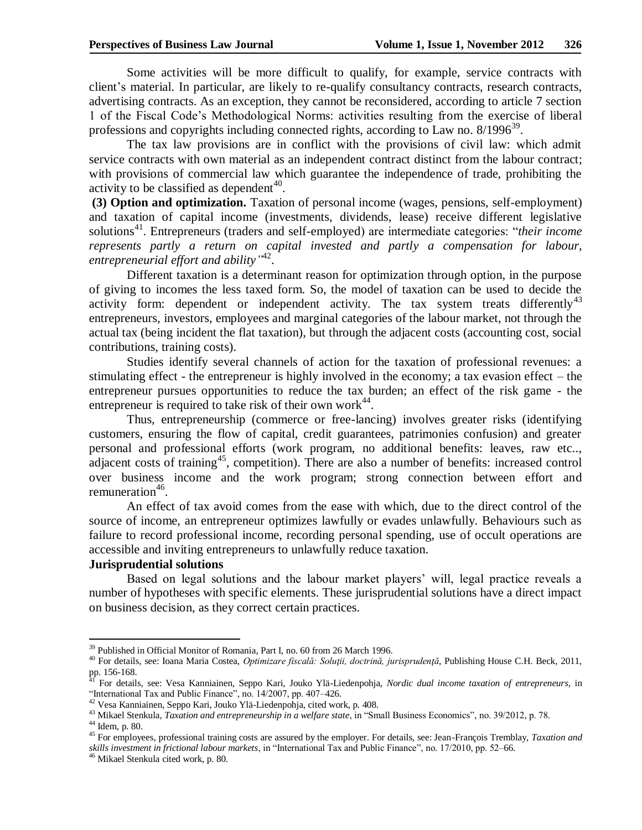Some activities will be more difficult to qualify, for example, service contracts with client's material. In particular, are likely to re-qualify consultancy contracts, research contracts, advertising contracts. As an exception, they cannot be reconsidered, according to article 7 section 1 of the Fiscal Code's Methodological Norms: activities resulting from the exercise of liberal professions and copyrights including connected rights, according to Law no.  $8/1996^{39}$ .

The tax law provisions are in conflict with the provisions of civil law: which admit service contracts with own material as an independent contract distinct from the labour contract; with provisions of commercial law which guarantee the independence of trade, prohibiting the activity to be classified as dependent<sup>40</sup>.

**(3) Option and optimization.** Taxation of personal income (wages, pensions, self-employment) and taxation of capital income (investments, dividends, lease) receive different legislative solutions<sup>41</sup>. Entrepreneurs (traders and self-employed) are intermediate categories: "*their income represents partly a return on capital invested and partly a compensation for labour, entrepreneurial effort and ability"* 42 .

Different taxation is a determinant reason for optimization through option, in the purpose of giving to incomes the less taxed form. So, the model of taxation can be used to decide the activity form: dependent or independent activity. The tax system treats differently<sup>43</sup> entrepreneurs, investors, employees and marginal categories of the labour market, not through the actual tax (being incident the flat taxation), but through the adjacent costs (accounting cost, social contributions, training costs).

Studies identify several channels of action for the taxation of professional revenues: a stimulating effect - the entrepreneur is highly involved in the economy; a tax evasion effect – the entrepreneur pursues opportunities to reduce the tax burden; an effect of the risk game - the entrepreneur is required to take risk of their own work $44$ .

Thus, entrepreneurship (commerce or free-lancing) involves greater risks (identifying customers, ensuring the flow of capital, credit guarantees, patrimonies confusion) and greater personal and professional efforts (work program, no additional benefits: leaves, raw etc.., adjacent costs of training<sup>45</sup>, competition). There are also a number of benefits: increased control over business income and the work program; strong connection between effort and remuneration<sup>46</sup>.

An effect of tax avoid comes from the ease with which, due to the direct control of the source of income, an entrepreneur optimizes lawfully or evades unlawfully. Behaviours such as failure to record professional income, recording personal spending, use of occult operations are accessible and inviting entrepreneurs to unlawfully reduce taxation.

### **Jurisprudential solutions**

Based on legal solutions and the labour market players' will, legal practice reveals a number of hypotheses with specific elements. These jurisprudential solutions have a direct impact on business decision, as they correct certain practices.

1

<sup>&</sup>lt;sup>39</sup> Published in Official Monitor of Romania, Part I, no. 60 from 26 March 1996.

<sup>40</sup> For details, see: Ioana Maria Costea, *Optimizare fiscală: Soluţii, doctrină, jurisprudenţă*, Publishing House C.H. Beck, 2011, pp. 156-168.

<sup>41</sup> For details, see: Vesa Kanniainen, Seppo Kari, Jouko Ylä-Liedenpohja, *Nordic dual income taxation of entrepreneurs*, in "International Tax and Public Finance", no. 14/2007, pp. 407–426.

<sup>42</sup> Vesa Kanniainen, Seppo Kari, Jouko Ylä-Liedenpohja, cited work, p. 408.

<sup>43</sup> Mikael Stenkula, *Taxation and entrepreneurship in a welfare state*, in "Small Business Economics", no. 39/2012, p. 78.

 $44$  Idem, p. 80.

<sup>45</sup> For employees, professional training costs are assured by the employer. For details, see: Jean-François Tremblay, *Taxation and skills investment in frictional labour markets*, in "International Tax and Public Finance", no. 17/2010, pp. 52–66.

<sup>46</sup> Mikael Stenkula cited work, p. 80.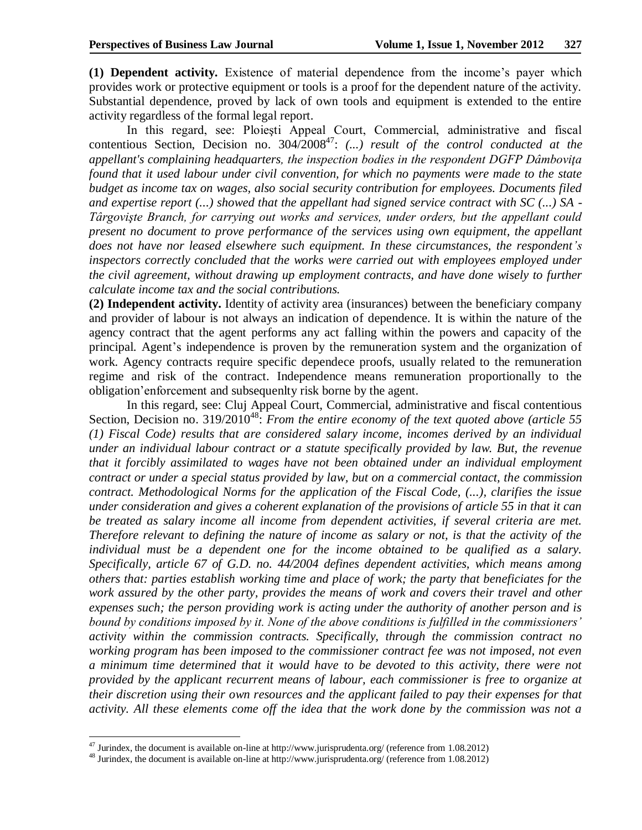**(1) Dependent activity.** Existence of material dependence from the income's payer which provides work or protective equipment or tools is a proof for the dependent nature of the activity. Substantial dependence, proved by lack of own tools and equipment is extended to the entire activity regardless of the formal legal report.

In this regard, see: Ploieşti Appeal Court, Commercial, administrative and fiscal contentious Section, Decision no.  $304/2008^{47}$ : (...) result of the control conducted at the *appellant's complaining headquarters, the inspection bodies in the respondent DGFP Dâmboviţa found that it used labour under civil convention, for which no payments were made to the state budget as income tax on wages, also social security contribution for employees. Documents filed and expertise report (...) showed that the appellant had signed service contract with SC (...) SA - Târgovişte Branch, for carrying out works and services, under orders, but the appellant could present no document to prove performance of the services using own equipment, the appellant does not have nor leased elsewhere such equipment. In these circumstances, the respondent's inspectors correctly concluded that the works were carried out with employees employed under the civil agreement, without drawing up employment contracts, and have done wisely to further calculate income tax and the social contributions.*

**(2) Independent activity.** Identity of activity area (insurances) between the beneficiary company and provider of labour is not always an indication of dependence. It is within the nature of the agency contract that the agent performs any act falling within the powers and capacity of the principal. Agent's independence is proven by the remuneration system and the organization of work. Agency contracts require specific dependece proofs, usually related to the remuneration regime and risk of the contract. Independence means remuneration proportionally to the obligation'enforcement and subsequenlty risk borne by the agent.

In this regard, see: Cluj Appeal Court, Commercial, administrative and fiscal contentious Section, Decision no. 319/2010<sup>48</sup>: *From the entire economy of the text quoted above (article 55 (1) Fiscal Code) results that are considered salary income, incomes derived by an individual under an individual labour contract or a statute specifically provided by law. But, the revenue that it forcibly assimilated to wages have not been obtained under an individual employment contract or under a special status provided by law, but on a commercial contact, the commission contract. Methodological Norms for the application of the Fiscal Code, (...), clarifies the issue under consideration and gives a coherent explanation of the provisions of article 55 in that it can be treated as salary income all income from dependent activities, if several criteria are met. Therefore relevant to defining the nature of income as salary or not, is that the activity of the individual must be a dependent one for the income obtained to be qualified as a salary. Specifically, article 67 of G.D. no. 44/2004 defines dependent activities, which means among others that: parties establish working time and place of work; the party that beneficiates for the work assured by the other party, provides the means of work and covers their travel and other expenses such; the person providing work is acting under the authority of another person and is bound by conditions imposed by it. None of the above conditions is fulfilled in the commissioners' activity within the commission contracts. Specifically, through the commission contract no working program has been imposed to the commissioner contract fee was not imposed, not even a minimum time determined that it would have to be devoted to this activity, there were not provided by the applicant recurrent means of labour, each commissioner is free to organize at their discretion using their own resources and the applicant failed to pay their expenses for that activity. All these elements come off the idea that the work done by the commission was not a* 

 $47$  Jurindex, the document is available on-line at http://www.jurisprudenta.org/ (reference from 1.08.2012)

<sup>48</sup> Jurindex, the document is available on-line at http://www.jurisprudenta.org/ (reference from 1.08.2012)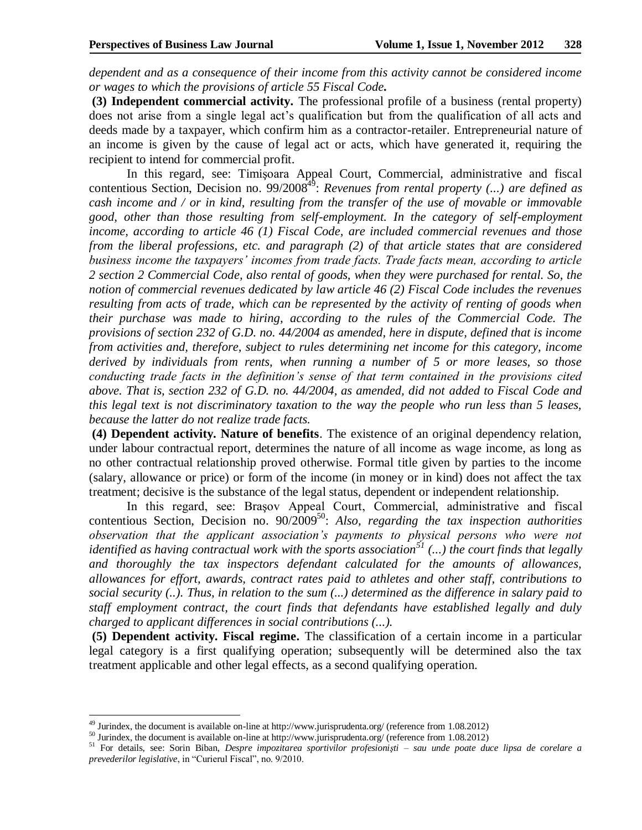*dependent and as a consequence of their income from this activity cannot be considered income or wages to which the provisions of article 55 Fiscal Code.* 

**(3) Independent commercial activity.** The professional profile of a business (rental property) does not arise from a single legal act's qualification but from the qualification of all acts and deeds made by a taxpayer, which confirm him as a contractor-retailer. Entrepreneurial nature of an income is given by the cause of legal act or acts, which have generated it, requiring the recipient to intend for commercial profit.

In this regard, see: Timişoara Appeal Court, Commercial, administrative and fiscal contentious Section, Decision no. 99/2008<sup>49</sup>: *Revenues from rental property (...) are defined as cash income and / or in kind, resulting from the transfer of the use of movable or immovable good, other than those resulting from self-employment. In the category of self-employment income, according to article 46 (1) Fiscal Code, are included commercial revenues and those from the liberal professions, etc. and paragraph (2) of that article states that are considered business income the taxpayers' incomes from trade facts. Trade facts mean, according to article 2 section 2 Commercial Code, also rental of goods, when they were purchased for rental. So, the notion of commercial revenues dedicated by law article 46 (2) Fiscal Code includes the revenues resulting from acts of trade, which can be represented by the activity of renting of goods when their purchase was made to hiring, according to the rules of the Commercial Code. The provisions of section 232 of G.D. no. 44/2004 as amended, here in dispute, defined that is income from activities and, therefore, subject to rules determining net income for this category, income derived by individuals from rents, when running a number of 5 or more leases, so those conducting trade facts in the definition's sense of that term contained in the provisions cited above. That is, section 232 of G.D. no. 44/2004, as amended, did not added to Fiscal Code and this legal text is not discriminatory taxation to the way the people who run less than 5 leases, because the latter do not realize trade facts.* 

**(4) Dependent activity. Nature of benefits**. The existence of an original dependency relation, under labour contractual report, determines the nature of all income as wage income, as long as no other contractual relationship proved otherwise. Formal title given by parties to the income (salary, allowance or price) or form of the income (in money or in kind) does not affect the tax treatment; decisive is the substance of the legal status, dependent or independent relationship.

In this regard, see: Braşov Appeal Court, Commercial, administrative and fiscal contentious Section, Decision no. 90/2009<sup>50</sup>: Also, regarding the tax inspection authorities *observation that the applicant association's payments to physical persons who were not identified as having contractual work with the sports association<sup>51</sup> (...) the court finds that legally and thoroughly the tax inspectors defendant calculated for the amounts of allowances, allowances for effort, awards, contract rates paid to athletes and other staff, contributions to social security (..). Thus, in relation to the sum (...) determined as the difference in salary paid to staff employment contract, the court finds that defendants have established legally and duly charged to applicant differences in social contributions (...).*

**(5) Dependent activity. Fiscal regime.** The classification of a certain income in a particular legal category is a first qualifying operation; subsequently will be determined also the tax treatment applicable and other legal effects, as a second qualifying operation.

 $49$  Jurindex, the document is available on-line at http://www.jurisprudenta.org/ (reference from 1.08.2012)

<sup>50</sup> Jurindex, the document is available on-line at http://www.jurisprudenta.org/ (reference from 1.08.2012)

<sup>51</sup> For details, see: Sorin Biban, *Despre impozitarea sportivilor profesionişti – sau unde poate duce lipsa de corelare a prevederilor legislative*, in "Curierul Fiscal", no. 9/2010.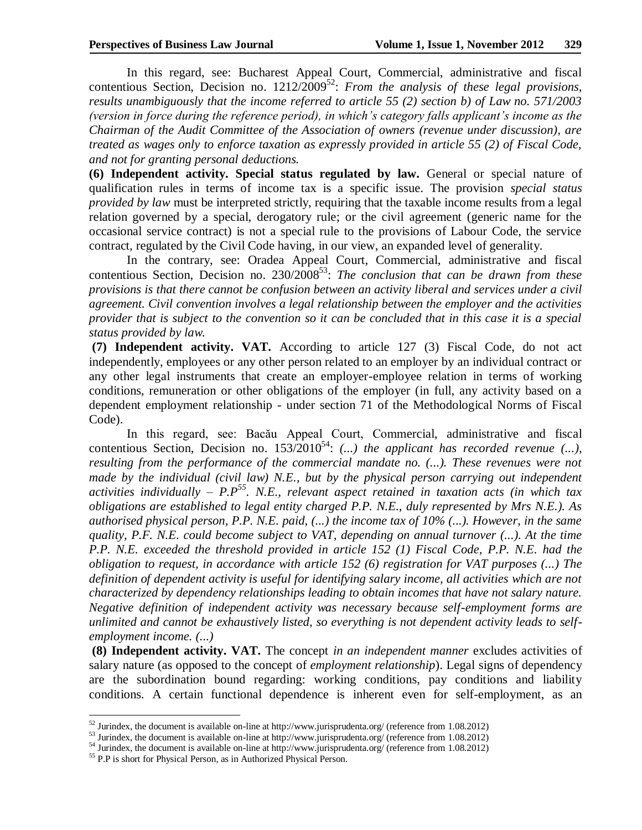In this regard, see: Bucharest Appeal Court, Commercial, administrative and fiscal contentious Section, Decision no. 1212/2009<sup>52</sup>: From the analysis of these legal provisions, *results unambiguously that the income referred to article 55 (2) section b) of Law no. 571/2003 (version in force during the reference period), in which's category falls applicant's income as the Chairman of the Audit Committee of the Association of owners (revenue under discussion), are treated as wages only to enforce taxation as expressly provided in article 55 (2) of Fiscal Code, and not for granting personal deductions.*

**(6) Independent activity. Special status regulated by law.** General or special nature of qualification rules in terms of income tax is a specific issue. The provision *special status provided by law* must be interpreted strictly, requiring that the taxable income results from a legal relation governed by a special, derogatory rule; or the civil agreement (generic name for the occasional service contract) is not a special rule to the provisions of Labour Code, the service contract, regulated by the Civil Code having, in our view, an expanded level of generality.

In the contrary, see: Oradea Appeal Court, Commercial, administrative and fiscal contentious Section, Decision no. 230/2008<sup>53</sup>: *The conclusion that can be drawn from these provisions is that there cannot be confusion between an activity liberal and services under a civil agreement. Civil convention involves a legal relationship between the employer and the activities provider that is subject to the convention so it can be concluded that in this case it is a special status provided by law.*

**(7) Independent activity. VAT.** According to article 127 (3) Fiscal Code, do not act independently, employees or any other person related to an employer by an individual contract or any other legal instruments that create an employer-employee relation in terms of working conditions, remuneration or other obligations of the employer (in full, any activity based on a dependent employment relationship - under section 71 of the Methodological Norms of Fiscal Code).

In this regard, see: Bacău Appeal Court, Commercial, administrative and fiscal contentious Section, Decision no.  $153/2010^{54}$ : (...) the applicant has recorded revenue (...), *resulting from the performance of the commercial mandate no. (...). These revenues were not made by the individual (civil law) N.E., but by the physical person carrying out independent activities individually – P.P<sup>55</sup>. N.E., relevant aspect retained in taxation acts (in which tax obligations are established to legal entity charged P.P. N.E., duly represented by Mrs N.E.). As authorised physical person, P.P. N.E. paid, (...) the income tax of 10% (...). However, in the same quality, P.F. N.E. could become subject to VAT, depending on annual turnover (...). At the time P.P. N.E. exceeded the threshold provided in article 152 (1) Fiscal Code, P.P. N.E. had the obligation to request, in accordance with article 152 (6) registration for VAT purposes (...) The definition of dependent activity is useful for identifying salary income, all activities which are not characterized by dependency relationships leading to obtain incomes that have not salary nature. Negative definition of independent activity was necessary because self-employment forms are unlimited and cannot be exhaustively listed, so everything is not dependent activity leads to selfemployment income. (...)* 

**(8) Independent activity. VAT.** The concept *in an independent manner* excludes activities of salary nature (as opposed to the concept of *employment relationship*). Legal signs of dependency are the subordination bound regarding: working conditions, pay conditions and liability conditions. A certain functional dependence is inherent even for self-employment, as an

 $\overline{a}$  $52$  Jurindex, the document is available on-line at http://www.jurisprudenta.org/ (reference from 1.08.2012)

<sup>&</sup>lt;sup>53</sup> Jurindex, the document is available on-line at http://www.jurisprudenta.org/ (reference from 1.08.2012)

<sup>54</sup> Jurindex, the document is available on-line at http://www.jurisprudenta.org/ (reference from 1.08.2012)

<sup>&</sup>lt;sup>55</sup> P.P is short for Physical Person, as in Authorized Physical Person.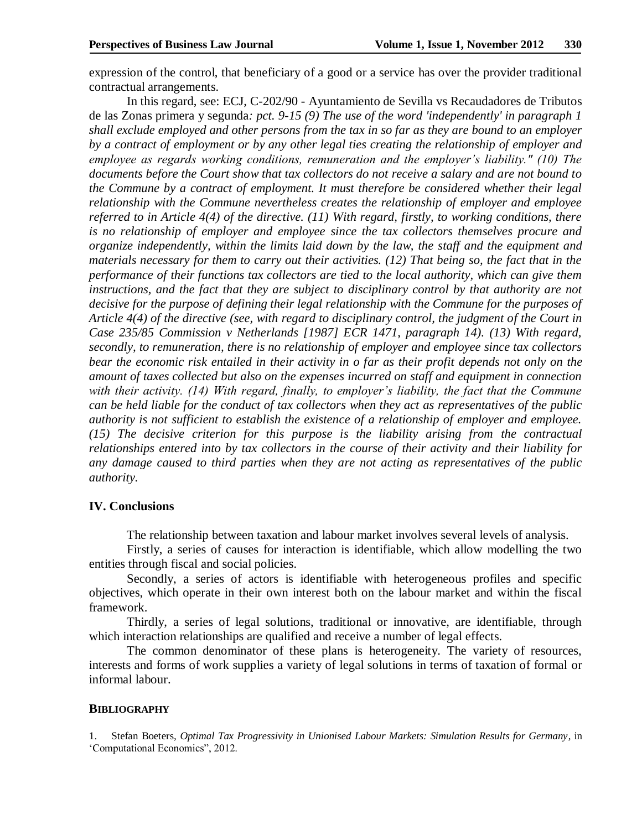expression of the control, that beneficiary of a good or a service has over the provider traditional contractual arrangements.

In this regard, see: ECJ, C-202/90 - Ayuntamiento de Sevilla vs Recaudadores de Tributos de las Zonas primera y segunda*: pct. 9-15 (9) The use of the word 'independently' in paragraph 1 shall exclude employed and other persons from the tax in so far as they are bound to an employer by a contract of employment or by any other legal ties creating the relationship of employer and employee as regards working conditions, remuneration and the employer's liability." (10) The documents before the Court show that tax collectors do not receive a salary and are not bound to the Commune by a contract of employment. It must therefore be considered whether their legal relationship with the Commune nevertheless creates the relationship of employer and employee referred to in Article 4(4) of the directive. (11) With regard, firstly, to working conditions, there is no relationship of employer and employee since the tax collectors themselves procure and organize independently, within the limits laid down by the law, the staff and the equipment and materials necessary for them to carry out their activities. (12) That being so, the fact that in the performance of their functions tax collectors are tied to the local authority, which can give them*  instructions, and the fact that they are subject to disciplinary control by that authority are not *decisive for the purpose of defining their legal relationship with the Commune for the purposes of Article 4(4) of the directive (see, with regard to disciplinary control, the judgment of the Court in Case 235/85 Commission v Netherlands [1987] ECR 1471, paragraph 14). (13) With regard, secondly, to remuneration, there is no relationship of employer and employee since tax collectors bear the economic risk entailed in their activity in o far as their profit depends not only on the amount of taxes collected but also on the expenses incurred on staff and equipment in connection with their activity. (14) With regard, finally, to employer's liability, the fact that the Commune can be held liable for the conduct of tax collectors when they act as representatives of the public authority is not sufficient to establish the existence of a relationship of employer and employee. (15) The decisive criterion for this purpose is the liability arising from the contractual relationships entered into by tax collectors in the course of their activity and their liability for any damage caused to third parties when they are not acting as representatives of the public authority.*

## **IV. Conclusions**

The relationship between taxation and labour market involves several levels of analysis.

Firstly, a series of causes for interaction is identifiable, which allow modelling the two entities through fiscal and social policies.

Secondly, a series of actors is identifiable with heterogeneous profiles and specific objectives, which operate in their own interest both on the labour market and within the fiscal framework.

Thirdly, a series of legal solutions, traditional or innovative, are identifiable, through which interaction relationships are qualified and receive a number of legal effects.

The common denominator of these plans is heterogeneity. The variety of resources, interests and forms of work supplies a variety of legal solutions in terms of taxation of formal or informal labour.

### **BIBLIOGRAPHY**

1. Stefan Boeters*, Optimal Tax Progressivity in Unionised Labour Markets: Simulation Results for Germany*, in 'Computational Economics", 2012.